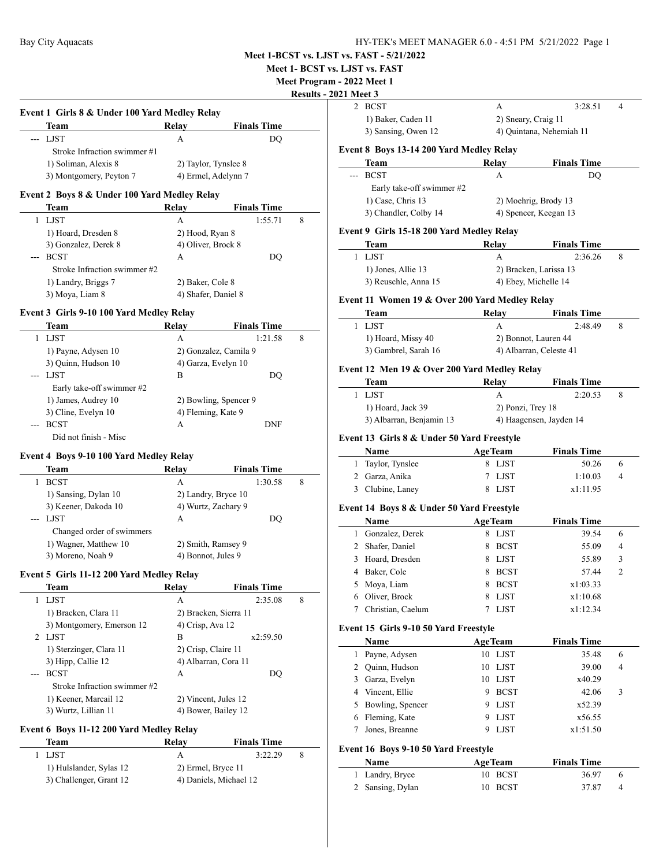**Meet 1- BCST vs. LJST vs. FAST**

**Meet Program -**

# **Results - 2021**

| Team                         | Relay                | <b>Finals Time</b>  |
|------------------------------|----------------------|---------------------|
| --- LJST                     | A                    | DO                  |
| Stroke Infraction swimmer #1 |                      |                     |
| 1) Soliman, Alexis 8         | 2) Taylor, Tynslee 8 |                     |
| 3) Montgomery, Peyton 7      |                      | 4) Ermel, Adelynn 7 |

|       | ream                         | кегау               | rinais lime |   |  |
|-------|------------------------------|---------------------|-------------|---|--|
|       | <b>LJST</b>                  | A                   | 1:55.71     | 8 |  |
|       | 1) Hoard, Dresden 8          | 2) Hood, Ryan 8     |             |   |  |
|       | 3) Gonzalez, Derek 8         | 4) Oliver, Brock 8  |             |   |  |
| $---$ | <b>BCST</b>                  | А                   | DO          |   |  |
|       | Stroke Infraction swimmer #2 |                     |             |   |  |
|       | 1) Landry, Briggs 7          | 2) Baker, Cole 8    |             |   |  |
|       | 3) Moya, Liam 8              | 4) Shafer, Daniel 8 |             |   |  |

# **Event 3 Girls 9-10 100 Yard Medley Relay**

| Team                      | Relav | <b>Finals Time</b>    |   |
|---------------------------|-------|-----------------------|---|
| <b>LJST</b>               | А     | 1:21.58               | 8 |
| 1) Payne, Adysen 10       |       | 2) Gonzalez, Camila 9 |   |
| 3) Quinn, Hudson 10       |       | 4) Garza, Evelyn 10   |   |
| --- LJST                  | В     | DO                    |   |
| Early take-off swimmer #2 |       |                       |   |
| 1) James, Audrey 10       |       | 2) Bowling, Spencer 9 |   |
| 3) Cline, Evelyn 10       |       | 4) Fleming, Kate 9    |   |
| <b>BCST</b>               | A     | <b>DNF</b>            |   |
| Did not finish - Misc     |       |                       |   |

# **Event 4 Boys 9-10 100 Yard Medley Relay**

| Team                      | Relay | <b>Finals Time</b>  |   |
|---------------------------|-------|---------------------|---|
| <b>BCST</b>               | A     | 1:30.58             | 8 |
| 1) Sansing, Dylan 10      |       | 2) Landry, Bryce 10 |   |
| 3) Keener, Dakoda 10      |       | 4) Wurtz, Zachary 9 |   |
| $-LJST$                   | A     | DO                  |   |
| Changed order of swimmers |       |                     |   |
| 1) Wagner, Matthew 10     |       | 2) Smith, Ramsey 9  |   |
| 3) Moreno, Noah 9         |       | 4) Bonnot, Jules 9  |   |

#### **Event 5 Girls 11-12 200 Yard Medley Relay**

| Team                         | Relav | <b>Finals Time</b>    |   |
|------------------------------|-------|-----------------------|---|
| <b>LJST</b>                  | А     | 2:35.08               | 8 |
| 1) Bracken, Clara 11         |       | 2) Bracken, Sierra 11 |   |
| 3) Montgomery, Emerson 12    |       | 4) Crisp, Ava 12      |   |
| 2 LJST                       | в     | x2:59.50              |   |
| 1) Sterzinger, Clara 11      |       | 2) Crisp, Claire 11   |   |
| 3) Hipp, Callie 12           |       | 4) Albarran, Cora 11  |   |
| <b>BCST</b>                  | A     | DO                    |   |
| Stroke Infraction swimmer #2 |       |                       |   |
| 1) Keener, Marcail 12        |       | 2) Vincent, Jules 12  |   |
| 3) Wurtz, Lillian 11         |       | 4) Bower, Bailey 12   |   |

# **Event 6 Boys 11-12 200 Yard Medley Relay**

 $\overline{a}$ 

| Team                    | Relav                  | <b>Finals Time</b> |  |
|-------------------------|------------------------|--------------------|--|
| - LIST                  |                        | 3:22.29            |  |
| 1) Hulslander, Sylas 12 | 2) Ermel, Bryce 11     |                    |  |
| 3) Challenger, Grant 12 | 4) Daniels, Michael 12 |                    |  |

|              | <b>)21 Meet 3</b>                                |    |                               |                             |   |
|--------------|--------------------------------------------------|----|-------------------------------|-----------------------------|---|
| 2            | <b>BCST</b>                                      |    | А                             | 3:28.51                     | 4 |
|              | 1) Baker, Caden 11                               |    |                               | 2) Sneary, Craig 11         |   |
|              | 3) Sansing, Owen 12                              |    |                               | 4) Quintana, Nehemiah 11    |   |
|              |                                                  |    |                               |                             |   |
|              | Event 8 Boys 13-14 200 Yard Medley Relay<br>Team |    | Relay                         | <b>Finals Time</b>          |   |
| ---          | <b>BCST</b>                                      |    | А                             | DQ                          |   |
|              | Early take-off swimmer #2                        |    |                               |                             |   |
|              | 1) Case, Chris 13                                |    |                               | 2) Moehrig, Brody 13        |   |
|              | 3) Chandler, Colby 14                            |    |                               | 4) Spencer, Keegan 13       |   |
|              |                                                  |    |                               |                             |   |
|              | Event 9 Girls 15-18 200 Yard Medley Relay        |    |                               |                             |   |
|              | Team<br>LJST                                     |    | <b>Relay</b>                  | <b>Finals Time</b>          |   |
| 1            |                                                  |    | А                             | 2:36.26                     | 8 |
|              | 1) Jones, Allie 13                               |    |                               | 2) Bracken, Larissa 13      |   |
|              | 3) Reuschle, Anna 15                             |    |                               | 4) Ebey, Michelle 14        |   |
|              | Event 11 Women 19 & Over 200 Yard Medley Relay   |    |                               |                             |   |
|              | Team                                             |    | Relay                         | <b>Finals Time</b>          |   |
| 1            | <b>LJST</b>                                      |    | A                             | 2:48.49                     | 8 |
|              | 1) Hoard, Missy 40                               |    |                               | 2) Bonnot, Lauren 44        |   |
|              | 3) Gambrel, Sarah 16                             |    |                               | 4) Albarran, Celeste 41     |   |
|              | Event 12 Men 19 & Over 200 Yard Medley Relay     |    |                               |                             |   |
|              | Team                                             |    | Relay                         | <b>Finals Time</b>          |   |
| 1            | <b>LJST</b>                                      |    | A                             | 2:20.53                     | 8 |
|              | 1) Hoard, Jack 39                                |    | 2) Ponzi, Trey 18             |                             |   |
|              | 3) Albarran, Benjamin 13                         |    |                               | 4) Haagensen, Jayden 14     |   |
|              | Event 13 Girls 8 & Under 50 Yard Freestyle       |    |                               |                             |   |
|              | Name                                             |    | <b>AgeTeam</b>                | <b>Finals Time</b>          |   |
|              |                                                  |    |                               |                             |   |
|              |                                                  |    | 8 LJST                        | 50.26                       | 6 |
|              | 1 Taylor, Tynslee                                | 7  |                               |                             | 4 |
| 3            | 2 Garza, Anika                                   | 8  | <b>LJST</b><br>LJST           | 1:10.03<br>x1:11.95         |   |
|              | Clubine, Laney                                   |    |                               |                             |   |
|              | Event 14 Boys 8 & Under 50 Yard Freestyle        |    |                               |                             |   |
|              | Name                                             |    | <b>AgeTeam</b>                | <b>Finals Time</b>          |   |
|              | 1 Gonzalez, Derek                                | 8  | LJST                          | 39.54                       | 6 |
| 2            | Shafer, Daniel                                   | 8  | <b>BCST</b>                   | 55.09                       | 4 |
| 3            | Hoard, Dresden                                   | 8  | LJST                          | 55.89                       | 3 |
| 4            | Baker, Cole                                      | 8  | <b>BCST</b>                   | 57.44                       | 2 |
| 5            | Moya, Liam                                       | 8  | <b>BCST</b>                   | x1:03.33                    |   |
|              | 6 Oliver, Brock                                  | 8  | LJST                          | x1:10.68                    |   |
| 7            | Christian, Caelum                                | 7  | LJST                          | x1:12.34                    |   |
|              | Event 15 Girls 9-10 50 Yard Freestyle            |    |                               |                             |   |
|              | Name                                             |    | <b>AgeTeam</b>                | <b>Finals Time</b>          |   |
| 1            | Payne, Adysen                                    |    | 10 LJST                       | 35.48                       | 6 |
|              | 2 Quinn, Hudson                                  | 10 | LJST                          | 39.00                       | 4 |
|              | 3 Garza, Evelyn                                  | 10 | LJST                          | x40.29                      |   |
|              | 4 Vincent, Ellie                                 |    | 9 BCST                        | 42.06                       | 3 |
| 5            | Bowling, Spencer                                 | 9. | LJST                          | x52.39                      |   |
| 6            | Fleming, Kate                                    | 9  | LJST                          | x56.55                      |   |
| 7            | Jones, Breanne                                   | 9  | LJST                          | x1:51.50                    |   |
|              |                                                  |    |                               |                             |   |
|              | Event 16 Boys 9-10 50 Yard Freestyle             |    |                               |                             |   |
| $\mathbf{1}$ | Name<br>Landry, Bryce                            | 10 | <b>AgeTeam</b><br><b>BCST</b> | <b>Finals Time</b><br>36.97 | 6 |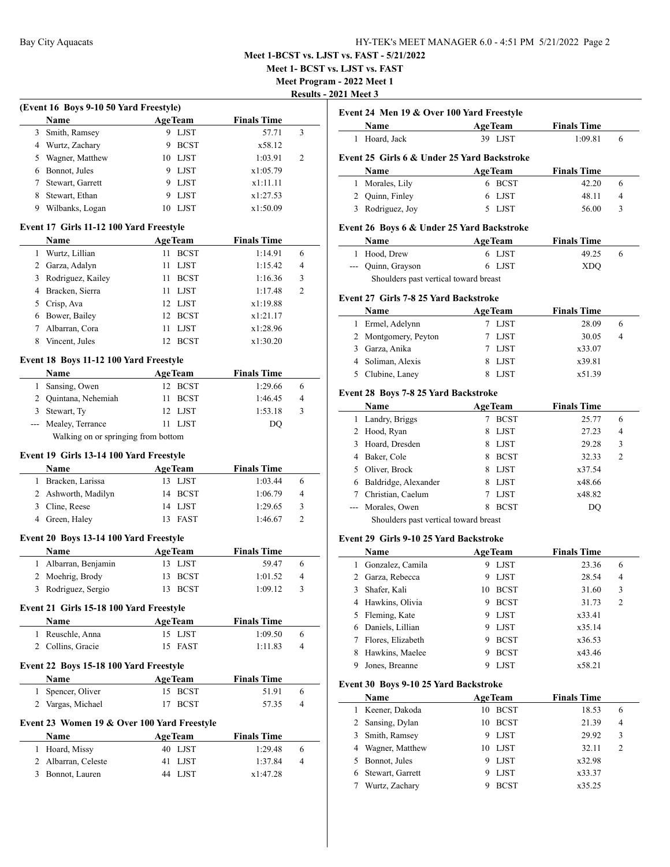**Meet 1- BCST vs. LJST vs. FAST**

**Meet Program - 2022 Meet 1**

**Results - 2021 Meet 3**

|   | <b>Name</b>      |    | <b>AgeTeam</b> | <b>Finals Time</b> |               |
|---|------------------|----|----------------|--------------------|---------------|
| 3 | Smith, Ramsey    | 9  | LJST           | 57.71              | 3             |
| 4 | Wurtz, Zachary   | 9  | <b>BCST</b>    | x58.12             |               |
| 5 | Wagner, Matthew  |    | 10 LJST        | 1:03.91            | $\mathcal{L}$ |
| 6 | Bonnot, Jules    |    | 9 LJST         | x1:05.79           |               |
|   | Stewart, Garrett | 9  | LJST           | x1:11.11           |               |
| 8 | Stewart, Ethan   | 9  | <b>LJST</b>    | x1:27.53           |               |
| 9 | Wilbanks, Logan  | 10 | LJST           | x1:50.09           |               |

#### **Event 17 Girls 11-12 100 Yard Freestyle**

|   | Name              |                 | <b>AgeTeam</b> | <b>Finals Time</b> |                |
|---|-------------------|-----------------|----------------|--------------------|----------------|
|   | Wurtz, Lillian    | 11              | <b>BCST</b>    | 1:14.91            | 6              |
|   | 2 Garza, Adalyn   | 11              | <b>LJST</b>    | 1:15.42            | $\overline{4}$ |
| 3 | Rodriguez, Kailey | 11              | <b>BCST</b>    | 1:16.36            | 3              |
| 4 | Bracken, Sierra   | 11              | <b>LJST</b>    | 1:17.48            | 2              |
|   | 5 Crisp, Ava      |                 | 12 LJST        | x1:19.88           |                |
| 6 | Bower, Bailey     | 12 <sub>1</sub> | <b>BCST</b>    | x1:21.17           |                |
|   | Albarran, Cora    | 11              | <b>LIST</b>    | x1:28.96           |                |
| 8 | Vincent, Jules    |                 | <b>BCST</b>    | x1:30.20           |                |

#### **Event 18 Boys 11-12 100 Yard Freestyle**

| Name                                |  | <b>AgeTeam</b> | <b>Finals Time</b> |                |  |
|-------------------------------------|--|----------------|--------------------|----------------|--|
| Sansing, Owen                       |  | 12 BCST        | 1:29.66            | 6              |  |
| 2 Quintana, Nehemiah                |  | 11 BCST        | 1:46.45            | $\overline{4}$ |  |
| 3 Stewart, Ty                       |  | 12 LJST        | 1:53.18            | 3              |  |
| --- Mealey, Terrance                |  | 11 LJST        | DO                 |                |  |
| Walking on or springing from bottom |  |                |                    |                |  |

#### **Event 19 Girls 13-14 100 Yard Freestyle**

| Name                | <b>AgeTeam</b> | <b>Finals Time</b> |   |
|---------------------|----------------|--------------------|---|
| 1 Bracken, Larissa  | 13 LJST        | 1:03.44            | b |
| 2 Ashworth, Madilyn | 14 BCST        | 1:06.79            | 4 |
| 3 Cline, Reese      | 14 LJST        | 1:29.65            | 3 |
| 4 Green, Haley      | 13 FAST        | 1:46.67            |   |

### **Event 20 Boys 13-14 100 Yard Freestyle**

| <b>Name</b>          | <b>AgeTeam</b> | <b>Finals Time</b> |               |
|----------------------|----------------|--------------------|---------------|
| 1 Albarran, Benjamin | 13 LJST        | 59.47              | $\sigma$      |
| 2 Moehrig, Brody     | 13 BCST        | 1:01.52            | 4             |
| 3 Rodriguez, Sergio  | 13 BCST        | 1:09.12            | $\mathcal{R}$ |

#### **Event 21 Girls 15-18 100 Yard Freestyle**

| Name              | <b>AgeTeam</b> | <b>Finals Time</b> |  |
|-------------------|----------------|--------------------|--|
| 1 Reuschle, Anna  | 15 LJST        | 1:09.50            |  |
| 2 Collins, Gracie | 15 FAST        | 1:11.83            |  |

# **Event 22 Boys 15-18 100 Yard Freestyle**

L.

| Name              | <b>AgeTeam</b> | <b>Finals Time</b>      |
|-------------------|----------------|-------------------------|
| 1 Spencer, Oliver | 15 BCST        | 51.91                   |
| 2 Vargas, Michael | 17 BCST        | 57.35<br>$\overline{4}$ |

# **Event 23 Women 19 & Over 100 Yard Freestyle**

| Name                | <b>AgeTeam</b> | <b>Finals Time</b> |                |
|---------------------|----------------|--------------------|----------------|
| 1 Hoard, Missy      | 40 LJST        | 1:29.48            | 6              |
| 2 Albarran, Celeste | 41 LIST        | 1:37.84            | $\overline{4}$ |
| 3 Bonnot, Lauren    | 44 LIST        | x1:47.28           |                |

#### **Event 24 Men 19 & Over 100 Yard Freestyle**

| Name                                        | <b>AgeTeam</b> | <b>Finals Time</b> |  |
|---------------------------------------------|----------------|--------------------|--|
| Hoard, Jack                                 | 39 LJST        | 1:09.81            |  |
| Event 25 Girls 6 & Under 25 Yard Backstroke |                |                    |  |
| <b>Name</b>                                 | <b>AgeTeam</b> | <b>Finals Time</b> |  |
| Morales, Lily                               | 6 BCST         | 42.20              |  |
| Quinn, Finley                               | LJST           | 48 11              |  |

3 Rodriguez, Joy 5 LJST 56.00 3

# **Event 26 Boys 6 & Under 25 Yard Backstroke**

| <b>Name</b>                                                                                                                                    | <b>AgeTeam</b> | <b>Finals Time</b> |
|------------------------------------------------------------------------------------------------------------------------------------------------|----------------|--------------------|
| 1 Hood, Drew                                                                                                                                   | 6 LJST         | 49.25<br>6         |
| --- Quinn, Grayson                                                                                                                             | 6 LJST         | XDO                |
| $\sim$ $\sim$ $\sim$ $\sim$<br>the contract of the contract of the contract of the contract of the contract of the contract of the contract of |                |                    |

Shoulders past vertical toward breast

# **Event 27 Girls 7-8 25 Yard Backstroke**

|    | <b>Name</b>          | <b>AgeTeam</b> | <b>Finals Time</b> |   |  |
|----|----------------------|----------------|--------------------|---|--|
| l. | Ermel, Adelynn       | 7 LJST         | 28.09              | 6 |  |
|    | 2 Montgomery, Peyton | 7 LJST         | 30.05              | 4 |  |
|    | 3 Garza, Anika       | 7 LJST         | x33.07             |   |  |
|    | 4 Soliman, Alexis    | LJST           | x39.81             |   |  |
|    | 5 Clubine, Laney     | <b>LIST</b>    | x51.39             |   |  |

#### **Event 28 Boys 7-8 25 Yard Backstroke**

|   | Name                                  |   | <b>AgeTeam</b> | <b>Finals Time</b> |                |
|---|---------------------------------------|---|----------------|--------------------|----------------|
|   | 1 Landry, Briggs                      |   | <b>BCST</b>    | 25.77              | 6              |
|   | 2 Hood, Ryan                          | 8 | <b>LJST</b>    | 27.23              | 4              |
|   | 3 Hoard, Dresden                      | 8 | LJST           | 29.28              | 3              |
| 4 | Baker, Cole                           | 8 | <b>BCST</b>    | 32.33              | $\overline{c}$ |
|   | 5 Oliver, Brock                       | 8 | LJST           | x37.54             |                |
| 6 | Baldridge, Alexander                  | 8 | <b>LJST</b>    | x48.66             |                |
|   | 7 Christian, Caelum                   |   | LJST           | x48.82             |                |
|   | --- Morales, Owen                     | 8 | <b>BCST</b>    | DO                 |                |
|   | Shoulders past vertical toward breast |   |                |                    |                |

#### **Event 29 Girls 9-10 25 Yard Backstroke**

| Name                             |    | <b>AgeTeam</b> | <b>Finals Time</b> |                |
|----------------------------------|----|----------------|--------------------|----------------|
| Gonzalez, Camila<br>$\mathbf{1}$ | 9  | <b>LJST</b>    | 23.36              | 6              |
| 2 Garza, Rebecca                 | 9  | <b>LJST</b>    | 28.54              | 4              |
| Shafer, Kali<br>3                | 10 | <b>BCST</b>    | 31.60              | 3              |
| 4 Hawkins, Olivia                | 9  | <b>BCST</b>    | 31.73              | $\overline{c}$ |
| 5 Fleming, Kate                  | 9  | LJST           | x33.41             |                |
| Daniels, Lillian<br>6            | 9  | LJST           | x35.14             |                |
| Flores, Elizabeth                | 9  | <b>BCST</b>    | x36.53             |                |
| Hawkins, Maelee<br>8             |    | <b>BCST</b>    | x43.46             |                |
| Jones, Breanne<br>9              |    | LIST           | x58.21             |                |

#### **Event 30 Boys 9-10 25 Yard Backstroke**

| Name               |    | <b>AgeTeam</b> | <b>Finals Time</b> |                |
|--------------------|----|----------------|--------------------|----------------|
| Keener, Dakoda     | 10 | <b>BCST</b>    | 18.53              | 6              |
| 2 Sansing, Dylan   | 10 | <b>BCST</b>    | 21.39              | 4              |
| 3 Smith, Ramsey    |    | LJST           | 29.92              | 3              |
| 4 Wagner, Matthew  |    | 10 LJST        | 32.11              | $\overline{2}$ |
| 5 Bonnot, Jules    |    | LJST           | x32.98             |                |
| 6 Stewart, Garrett |    | LJST           | x33.37             |                |
| Wurtz, Zachary     |    | <b>BCST</b>    | x35.25             |                |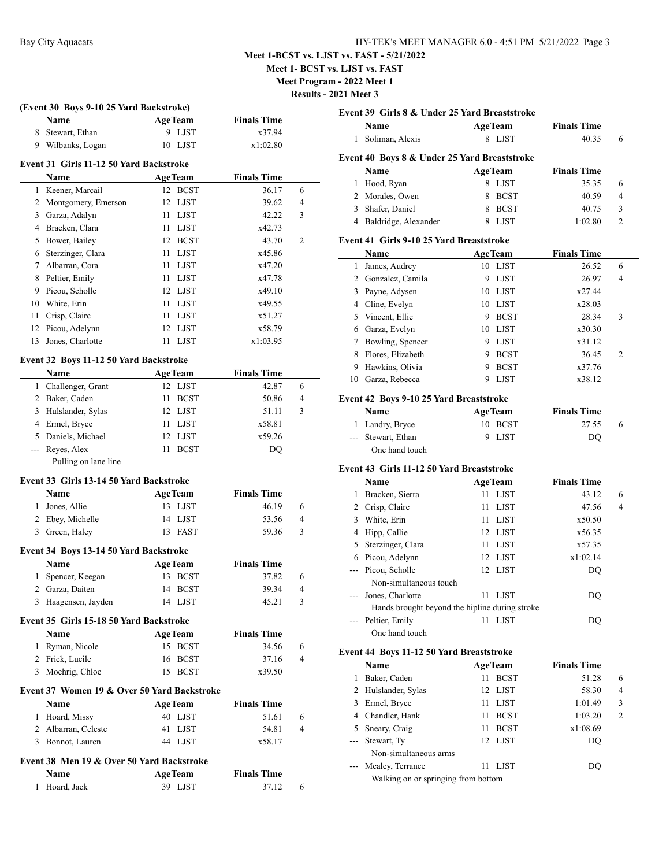**Meet 1- BCST vs. LJST vs. FAST**

**Meet Program - 2022 Meet 1**

| Results - 2021 Meet 3 |  |  |
|-----------------------|--|--|
|                       |  |  |

|                | Name                                        | (Event 30 Boys 9-10 25 Yard Backstroke)<br><b>AgeTeam</b> | <b>Finals Time</b> |                                      |
|----------------|---------------------------------------------|-----------------------------------------------------------|--------------------|--------------------------------------|
| 8              | Stewart, Ethan                              | 9 LJST                                                    | x37.94             |                                      |
| 9              | Wilbanks, Logan                             | 10 LJST                                                   | x1:02.80           |                                      |
|                |                                             |                                                           |                    |                                      |
|                | Event 31 Girls 11-12 50 Yard Backstroke     |                                                           |                    |                                      |
|                | Name                                        | <b>AgeTeam</b>                                            | <b>Finals Time</b> |                                      |
|                | 1 Keener, Marcail                           | 12 BCST                                                   | 36.17              | 6                                    |
| $\overline{2}$ | Montgomery, Emerson                         | 12 LJST                                                   | 39.62              | 4                                    |
| 3              | Garza, Adalyn                               | 11 LJST                                                   | 42.22              | 3                                    |
| 4              | Bracken, Clara                              | 11 LJST                                                   | x42.73             |                                      |
| 5              | Bower, Bailey                               | 12 BCST                                                   | 43.70              | $\overline{2}$                       |
| 6              | Sterzinger, Clara                           | 11 LJST                                                   | x45.86             |                                      |
| $\tau$         | Albarran, Cora                              | 11 LJST                                                   | x47.20             |                                      |
| 8              | Peltier, Emily                              | 11 LJST                                                   | x47.78             |                                      |
| 9              | Picou, Scholle                              | 12 LJST                                                   | x49.10             |                                      |
| 10             | White, Erin                                 | 11 LJST                                                   | x49.55             |                                      |
| 11             | Crisp, Claire                               | 11 LJST                                                   | x51.27             |                                      |
|                | 12 Picou, Adelynn                           | 12 LJST                                                   | x58.79             |                                      |
| 13             | Jones, Charlotte                            | 11<br>LJST                                                | x1:03.95           |                                      |
|                | Event 32 Boys 11-12 50 Yard Backstroke      |                                                           |                    |                                      |
|                | Name                                        | <b>AgeTeam</b>                                            | <b>Finals Time</b> |                                      |
| $\mathbf{1}$   | Challenger, Grant                           | 12 LJST                                                   | 42.87              | 6                                    |
|                | 2 Baker, Caden                              | 11<br><b>BCST</b>                                         | 50.86              | 4                                    |
|                | 3 Hulslander, Sylas                         | 12 LJST                                                   | 51.11              | 3                                    |
|                | 4 Ermel, Bryce                              | 11 LJST                                                   | x58.81             |                                      |
|                | 5 Daniels, Michael                          | 12<br>LJST                                                | x59.26             |                                      |
| ---            | Reyes, Alex                                 | 11<br><b>BCST</b>                                         | DQ                 |                                      |
|                | Pulling on lane line                        |                                                           |                    |                                      |
|                |                                             |                                                           |                    |                                      |
|                | Event 33 Girls 13-14 50 Yard Backstroke     |                                                           |                    |                                      |
|                | Name                                        | <b>AgeTeam</b>                                            | <b>Finals Time</b> |                                      |
|                |                                             |                                                           |                    |                                      |
| $\mathbf{1}$   | Jones, Allie                                | 13 LJST                                                   | 46.19              |                                      |
|                | 2 Ebey, Michelle                            | 14 LJST                                                   | 53.56              |                                      |
|                | 3 Green, Haley                              | 13 FAST                                                   | 59.36              |                                      |
|                | Event 34 Boys 13-14 50 Yard Backstroke      |                                                           |                    |                                      |
|                | Name                                        | <b>AgeTeam</b>                                            | <b>Finals Time</b> |                                      |
| 1              | Spencer, Keegan                             | 13 BCST                                                   | 37.82              |                                      |
|                | 2 Garza, Daiten                             | 14 BCST                                                   | 39.34              |                                      |
|                | 3 Haagensen, Jayden                         | 14 LJST                                                   | 45.21              |                                      |
|                |                                             |                                                           |                    |                                      |
|                | Event 35 Girls 15-18 50 Yard Backstroke     |                                                           |                    |                                      |
|                | Name                                        | <b>AgeTeam</b>                                            | <b>Finals Time</b> |                                      |
| 1              | Ryman, Nicole                               | 15 BCST                                                   | 34.56              |                                      |
|                | 2 Frick, Lucile                             | 16 BCST                                                   | 37.16              | 6<br>4<br>3<br>6<br>4<br>3<br>6<br>4 |
| 3              | Moehrig, Chloe                              | 15<br><b>BCST</b>                                         | x39.50             |                                      |
|                | Event 37 Women 19 & Over 50 Yard Backstroke |                                                           |                    |                                      |
|                | <b>Name</b>                                 | <b>AgeTeam</b>                                            | <b>Finals Time</b> |                                      |
|                | 1 Hoard, Missy                              | 40 LJST                                                   | 51.61              |                                      |
|                | 2 Albarran, Celeste                         | 41 LJST                                                   | 54.81              |                                      |
|                | 3 Bonnot, Lauren                            | 44 LJST                                                   | x58.17             | 6<br>4                               |
|                | Event 38 Men 19 & Over 50 Yard Backstroke   |                                                           |                    |                                      |
|                | Name                                        | <b>AgeTeam</b>                                            | <b>Finals Time</b> |                                      |

|               | Event 39 Girls 8 & Under 25 Yard Breaststroke  |                   |                    |   |
|---------------|------------------------------------------------|-------------------|--------------------|---|
|               | Name                                           | <b>AgeTeam</b>    | <b>Finals Time</b> |   |
| 1             | Soliman, Alexis                                | 8 LJST            | 40.35              | 6 |
|               | Event 40 Boys 8 & Under 25 Yard Breaststroke   |                   |                    |   |
|               | Name                                           | <b>AgeTeam</b>    | <b>Finals Time</b> |   |
| 1             | Hood, Ryan                                     | 8 LJST            | 35.35              | 6 |
|               | 2 Morales, Owen                                | 8 BCST            | 40.59              | 4 |
|               | 3 Shafer, Daniel                               | 8 BCST            | 40.75              | 3 |
|               | 4 Baldridge, Alexander                         | 8 LJST            | 1:02.80            | 2 |
|               | Event 41 Girls 9-10 25 Yard Breaststroke       |                   |                    |   |
|               | Name                                           | <b>AgeTeam</b>    | <b>Finals Time</b> |   |
| $\mathbf{1}$  | James, Audrey                                  | 10 LJST           | 26.52              | 6 |
|               | 2 Gonzalez, Camila                             | <b>LJST</b><br>9  | 26.97              | 4 |
|               | 3 Payne, Adysen                                | 10 LJST           | x27.44             |   |
|               | 4 Cline, Evelyn                                | 10 LJST           | x28.03             |   |
|               | 5 Vincent, Ellie                               | 9 BCST            | 28.34              | 3 |
|               | 6 Garza, Evelyn                                | 10 LJST           | x30.30             |   |
|               | 7 Bowling, Spencer                             | 9 LJST            | x31.12             |   |
| 8             | Flores, Elizabeth                              | 9 BCST            | 36.45              | 2 |
| 9             | Hawkins, Olivia                                | 9 BCST            | x37.76             |   |
| 10            | Garza, Rebecca                                 | LJST<br>9         | x38.12             |   |
|               |                                                |                   |                    |   |
|               | Event 42 Boys 9-10 25 Yard Breaststroke        |                   |                    |   |
|               | <b>Name</b>                                    | <b>AgeTeam</b>    | <b>Finals Time</b> |   |
|               | 1 Landry, Bryce                                | 10 BCST           | 27.55              | 6 |
| $\frac{1}{2}$ | Stewart, Ethan                                 | <b>LJST</b><br>9  | DQ                 |   |
|               | One hand touch                                 |                   |                    |   |
|               | Event 43 Girls 11-12 50 Yard Breaststroke      |                   |                    |   |
|               | Name                                           | <b>AgeTeam</b>    | <b>Finals Time</b> |   |
| 1             | Bracken, Sierra                                | <b>LJST</b><br>11 | 43.12              | 6 |
|               | 2 Crisp, Claire                                | 11<br>LJST        | 47.56              | 4 |
|               | 3 White, Erin                                  | LJST<br>11        | x50.50             |   |
|               | 4 Hipp, Callie                                 | 12 LJST           | x56.35             |   |
|               | 5 Sterzinger, Clara                            | 11 LJST           | x57.35             |   |
|               | 6 Picou, Adelynn                               | 12 LJST           | x1:02.14           |   |
| ---           | Picou, Scholle                                 | 12 LJST           | DQ                 |   |
|               | Non-simultaneous touch                         |                   |                    |   |
| $---$         | Jones, Charlotte                               | 11 LJST           | DQ                 |   |
|               | Hands brought beyond the hipline during stroke |                   |                    |   |
| $-$           | Peltier, Emily                                 | 11 LJST           | DQ                 |   |
|               | One hand touch                                 |                   |                    |   |
|               | Event 44 Boys 11-12 50 Yard Breaststroke       |                   |                    |   |
|               | Name                                           | <b>AgeTeam</b>    | <b>Finals Time</b> |   |
| 1             | Baker, Caden                                   | <b>BCST</b><br>11 | 51.28              | 6 |
|               | 2 Hulelander Sylac                             | 12 I ICT          | 58.30              | Λ |

|               | таніс                               | Age ream          | т шаю типе |                |  |  |
|---------------|-------------------------------------|-------------------|------------|----------------|--|--|
|               | Baker, Caden                        | <b>BCST</b><br>11 | 51.28      | 6              |  |  |
|               | 2 Hulslander, Sylas                 | 12 LJST           | 58.30      | $\overline{4}$ |  |  |
| 3             | Ermel, Bryce                        | LJST<br>11.       | 1:01.49    | 3              |  |  |
| 4             | Chandler, Hank                      | <b>BCST</b><br>11 | 1:03.20    | $\mathfrak{D}$ |  |  |
| 5.            | Sneary, Craig                       | <b>BCST</b><br>11 | x1:08.69   |                |  |  |
|               | --- Stewart, Ty                     | 12 LJST           | DO         |                |  |  |
|               | Non-simultaneous arms               |                   |            |                |  |  |
| $\sim$ $\sim$ | Mealey, Terrance                    | LJST<br>11        | DO         |                |  |  |
|               | Walking on or springing from bottom |                   |            |                |  |  |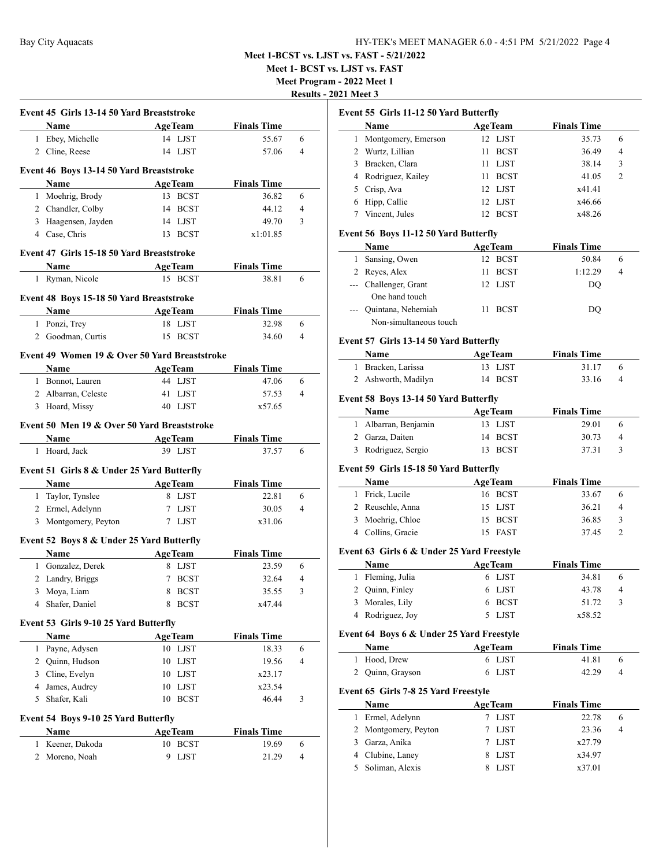**Meet 1- BCST vs. LJST vs. FAST**

**Meet Program - 2022 Meet 1**

**Results - 2021 Meet 3**

|   | Event 45 Girls 13-14 50 Yard Breaststroke     |                |                                             |                             |        |
|---|-----------------------------------------------|----------------|---------------------------------------------|-----------------------------|--------|
|   | Name                                          |                | <b>AgeTeam</b>                              | <b>Finals Time</b>          |        |
|   | 1 Ebey, Michelle                              |                | 14 LJST                                     | 55.67                       | 6      |
|   | 2 Cline, Reese                                |                | 14 LJST                                     | 57.06                       | 4      |
|   |                                               |                |                                             |                             |        |
|   | Event 46 Boys 13-14 50 Yard Breaststroke      |                |                                             |                             |        |
|   | Name                                          | <b>AgeTeam</b> |                                             | <b>Finals Time</b>          |        |
|   | 1 Moehrig, Brody                              |                | 13 BCST                                     | 36.82                       | 6      |
|   | 2 Chandler, Colby                             |                | 14 BCST                                     | 44.12                       | 4      |
|   | 3 Haagensen, Jayden                           |                | 14 LJST                                     | 49.70                       | 3      |
|   | 4 Case, Chris                                 |                | 13 BCST                                     | x1:01.85                    |        |
|   | Event 47 Girls 15-18 50 Yard Breaststroke     |                |                                             |                             |        |
|   | Name                                          | <b>AgeTeam</b> |                                             | <b>Finals Time</b>          |        |
|   | 1 Ryman, Nicole                               |                | 15 BCST                                     | 38.81                       | 6      |
|   | Event 48 Boys 15-18 50 Yard Breaststroke      |                |                                             |                             |        |
|   | Name                                          |                | <b>AgeTeam</b>                              | <b>Finals Time</b>          |        |
|   | 1 Ponzi, Trey                                 |                | 18 LJST                                     | 32.98                       | 6      |
|   | 2 Goodman, Curtis                             |                | 15 BCST                                     | 34.60                       | 4      |
|   | Event 49 Women 19 & Over 50 Yard Breaststroke |                |                                             |                             |        |
|   | <b>Name</b>                                   |                | <b>AgeTeam</b>                              | <b>Finals Time</b>          |        |
|   | 1 Bonnot, Lauren                              |                | 44 LJST                                     | 47.06                       | 6      |
|   | 2 Albarran, Celeste                           |                | 41 LJST                                     | 57.53                       | 4      |
|   | 3 Hoard, Missy                                |                | 40 LJST                                     | x57.65                      |        |
|   |                                               |                | Event 50 Men 19 & Over 50 Yard Breaststroke |                             |        |
|   | Name<br>1 Hoard, Jack                         | <b>AgeTeam</b> | 39 LJST                                     | <b>Finals Time</b><br>37.57 | 6      |
|   | Event 51 Girls 8 & Under 25 Yard Butterfly    |                |                                             |                             |        |
|   | Name                                          | <b>AgeTeam</b> |                                             | <b>Finals Time</b>          |        |
|   | 1 Taylor, Tynslee                             |                | 8 LJST                                      | 22.81                       | 6      |
|   | 2 Ermel, Adelynn                              |                | 7 LJST                                      | 30.05                       | 4      |
|   | 3 Montgomery, Peyton                          |                | 7 LJST                                      | x31.06                      |        |
|   | Event 52 Boys 8 & Under 25 Yard Butterfly     |                |                                             |                             |        |
|   | <b>Name</b>                                   |                |                                             | <b>Finals Time</b>          |        |
|   | 1 Gonzalez, Derek                             |                | <b>AgeTeam</b><br>8 LJST                    | 23.59                       | 6      |
|   | 2 Landry, Briggs                              |                | 7 BCST                                      | 32.64                       | 4      |
|   |                                               |                | 8 BCST                                      | 35.55                       | 3      |
|   | 3 Moya, Liam<br>4 Shafer, Daniel              |                | 8 BCST                                      | x47.44                      |        |
|   |                                               |                |                                             |                             |        |
|   | Event 53 Girls 9-10 25 Yard Butterfly<br>Name |                |                                             |                             |        |
| 1 |                                               | <b>AgeTeam</b> |                                             | <b>Finals Time</b>          | 6      |
|   | Payne, Adysen                                 |                | 10 LJST                                     | 18.33                       |        |
|   | 2 Quinn, Hudson                               | 10             | <b>LJST</b>                                 | 19.56                       | 4      |
|   | 3 Cline, Evelyn                               |                | 10 LJST                                     | x23.17                      |        |
| 5 | 4 James, Audrey                               | 10<br>10       | <b>LJST</b>                                 | x23.54                      | 3      |
|   | Shafer, Kali                                  |                | <b>BCST</b>                                 | 46.44                       |        |
|   | Event 54 Boys 9-10 25 Yard Butterfly          |                |                                             |                             |        |
|   | Name                                          | <b>AgeTeam</b> |                                             | <b>Finals Time</b>          |        |
| 1 | Keener, Dakoda<br>2 Moreno, Noah              | 9              | 10 BCST<br><b>LJST</b>                      | 19.69<br>21.29              | 6<br>4 |

| Event 55 Girls 11-12 50 Yard Butterfly |                                            |                     |                    |                |  |
|----------------------------------------|--------------------------------------------|---------------------|--------------------|----------------|--|
|                                        | Name                                       | <b>AgeTeam</b>      | <b>Finals Time</b> |                |  |
| 1                                      | Montgomery, Emerson                        | 12 LJST             | 35.73              | 6              |  |
|                                        | 2 Wurtz, Lillian                           | 11<br><b>BCST</b>   | 36.49              | 4              |  |
|                                        | 3 Bracken, Clara                           | 11 LJST             | 38.14              | 3              |  |
|                                        | 4 Rodriguez, Kailey                        | <b>BCST</b><br>11 - | 41.05              | 2              |  |
|                                        | 5 Crisp, Ava                               | 12 LJST             | x41.41             |                |  |
|                                        | 6 Hipp, Callie                             | 12 LJST             | x46.66             |                |  |
| 7                                      | Vincent, Jules                             | 12 BCST             | x48.26             |                |  |
|                                        |                                            |                     |                    |                |  |
|                                        | Event 56 Boys 11-12 50 Yard Butterfly      |                     |                    |                |  |
|                                        | Name                                       | <b>AgeTeam</b>      | <b>Finals Time</b> |                |  |
|                                        | 1 Sansing, Owen                            | 12 BCST             | 50.84              | 6              |  |
|                                        | 2 Reyes, Alex                              | 11 -<br><b>BCST</b> | 1:12.29            | 4              |  |
|                                        | --- Challenger, Grant                      | 12 LJST             | DQ                 |                |  |
|                                        | One hand touch                             |                     |                    |                |  |
|                                        | --- Quintana, Nehemiah                     | 11<br><b>BCST</b>   | DQ                 |                |  |
|                                        | Non-simultaneous touch                     |                     |                    |                |  |
|                                        | Event 57 Girls 13-14 50 Yard Butterfly     |                     |                    |                |  |
|                                        | Name                                       | <b>AgeTeam</b>      | <b>Finals Time</b> |                |  |
|                                        | 1 Bracken, Larissa                         | 13 LJST             | 31.17              | 6              |  |
|                                        | 2 Ashworth, Madilyn                        | 14 BCST             | 33.16              | 4              |  |
|                                        |                                            |                     |                    |                |  |
|                                        | Event 58 Boys 13-14 50 Yard Butterfly      |                     |                    |                |  |
|                                        | Name                                       | <b>AgeTeam</b>      | <b>Finals Time</b> |                |  |
|                                        | 1 Albarran, Benjamin                       | 13 LJST             | 29.01              | 6              |  |
|                                        | 2 Garza, Daiten                            | <b>BCST</b><br>14   | 30.73              | 4              |  |
|                                        | 3 Rodriguez, Sergio                        | 13 BCST             | 37.31              | 3              |  |
|                                        | Event 59 Girls 15-18 50 Yard Butterfly     |                     |                    |                |  |
|                                        |                                            |                     |                    |                |  |
|                                        | Name                                       | <b>AgeTeam</b>      | <b>Finals Time</b> |                |  |
|                                        | 1 Frick, Lucile                            | 16 BCST             | 33.67              | 6              |  |
|                                        | 2 Reuschle, Anna                           | 15 LJST             | 36.21              | 4              |  |
|                                        | 3 Moehrig, Chloe                           | 15 BCST             | 36.85              | 3              |  |
|                                        | 4 Collins, Gracie                          | 15 FAST             | 37.45              | $\overline{2}$ |  |
|                                        | Event 63 Girls 6 & Under 25 Yard Freestyle |                     |                    |                |  |
|                                        | Name                                       | <b>AgeTeam</b>      | <b>Finals Time</b> |                |  |
|                                        | 1 Fleming, Julia                           | 6 LJST              | 34.81              | 6              |  |
|                                        | 2 Quinn, Finley                            | 6 LJST              | 43.78              | $\overline{4}$ |  |
| 3                                      | Morales, Lily                              | <b>BCST</b><br>6    | 51.72              | 3              |  |
| 4                                      | Rodriguez, Joy                             | <b>LJST</b><br>5    | x58.52             |                |  |
|                                        |                                            |                     |                    |                |  |
|                                        | Event 64 Boys 6 & Under 25 Yard Freestyle  |                     | <b>Finals Time</b> |                |  |
|                                        | Name                                       | <b>AgeTeam</b>      |                    |                |  |
| 1                                      | Hood, Drew                                 | 6 LJST              | 41.81              | 6              |  |
| 2                                      | Quinn, Grayson                             | <b>LJST</b><br>6    | 42.29              | 4              |  |
|                                        | Event 65 Girls 7-8 25 Yard Freestyle       |                     |                    |                |  |
|                                        | Name                                       | <b>AgeTeam</b>      | <b>Finals Time</b> |                |  |
| 1                                      | Ermel, Adelynn                             | 7 LJST              | 22.78              | 6              |  |
| 2                                      | Montgomery, Peyton                         | 7<br>LJST           | 23.36              | 4              |  |
|                                        | 3 Garza, Anika                             | <b>LJST</b><br>7    | x27.79             |                |  |
|                                        | 4 Clubine, Laney                           | <b>LJST</b><br>8    | x34.97             |                |  |
| 5                                      | Soliman, Alexis                            | 8<br><b>LJST</b>    | x37.01             |                |  |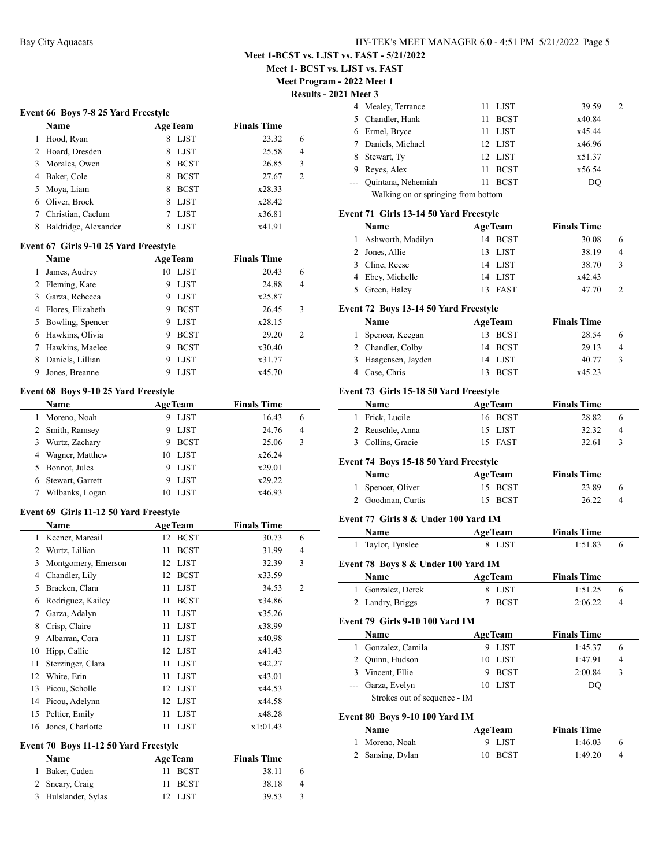**Meet 1- BCST vs. LJST vs. FAST**

**Meet Program - 2022 Meet 1**

**Results - 2021** 

|   | <b>Name</b>          |   | <b>AgeTeam</b> | <b>Finals Time</b> |                |
|---|----------------------|---|----------------|--------------------|----------------|
|   | Hood, Ryan           | 8 | <b>LJST</b>    | 23.32              | 6              |
|   | 2 Hoard, Dresden     |   | LJST           | 25.58              | 4              |
| 3 | Morales, Owen        | 8 | <b>BCST</b>    | 26.85              | 3              |
| 4 | Baker, Cole          |   | <b>BCST</b>    | 27.67              | $\mathfrak{D}$ |
| 5 | Moya, Liam           | 8 | <b>BCST</b>    | x28.33             |                |
| 6 | Oliver, Brock        |   | LJST           | x28.42             |                |
|   | Christian, Caelum    |   | <b>LIST</b>    | x36.81             |                |
|   | Baldridge, Alexander |   | LIST           | x41.91             |                |
|   |                      |   |                |                    |                |

#### **Event 67 Girls 9-10 25 Yard Freestyle**

|   | Name               |    | <b>AgeTeam</b> | <b>Finals Time</b> |                             |
|---|--------------------|----|----------------|--------------------|-----------------------------|
|   | James, Audrey      | 10 | LJST           | 20.43              | 6                           |
|   | 2 Fleming, Kate    | 9  | <b>LJST</b>    | 24.88              | 4                           |
|   | 3 Garza, Rebecca   | 9  | LJST           | x25.87             |                             |
| 4 | Flores, Elizabeth  | 9  | <b>BCST</b>    | 26.45              | 3                           |
|   | 5 Bowling, Spencer | 9  | LJST           | x28.15             |                             |
| 6 | Hawkins, Olivia    | 9  | <b>BCST</b>    | 29.20              | $\mathcal{D}_{\mathcal{A}}$ |
|   | Hawkins, Maelee    | 9  | <b>BCST</b>    | x30.40             |                             |
| 8 | Daniels, Lillian   | 9  | <b>LIST</b>    | x31.77             |                             |
| 9 | Jones, Breanne     |    | LIST           | x45.70             |                             |

# **Event 68 Boys 9-10 25 Yard Freestyle**

|   | <b>Name</b>        |    | <b>AgeTeam</b> | <b>Finals Time</b> |                |
|---|--------------------|----|----------------|--------------------|----------------|
| 1 | Moreno, Noah       |    | <b>LJST</b>    | 16.43              | 6              |
|   | 2 Smith, Ramsey    |    | LJST           | 24.76              | $\overline{4}$ |
|   | 3 Wurtz, Zachary   |    | <b>BCST</b>    | 25.06              | 3              |
|   | 4 Wagner, Matthew  | 10 | <b>LJST</b>    | x26.24             |                |
|   | 5 Bonnot, Jules    |    | <b>LJST</b>    | x29.01             |                |
|   | 6 Stewart, Garrett |    | LJST           | x29.22             |                |
|   | Wilbanks, Logan    |    | <b>LIST</b>    | x46.93             |                |

# **Event 69 Girls 11-12 50 Yard Freestyle**

|    | Name                | <b>AgeTeam</b>    | <b>Finals Time</b> |                |
|----|---------------------|-------------------|--------------------|----------------|
| 1  | Keener, Marcail     | <b>BCST</b><br>12 | 30.73              | 6              |
| 2  | Wurtz, Lillian      | <b>BCST</b><br>11 | 31.99              | 4              |
| 3  | Montgomery, Emerson | <b>LJST</b><br>12 | 32.39              | 3              |
| 4  | Chandler, Lily      | <b>BCST</b><br>12 | x33.59             |                |
| 5  | Bracken, Clara      | <b>LJST</b><br>11 | 34.53              | $\overline{2}$ |
| 6  | Rodriguez, Kailey   | <b>BCST</b><br>11 | x34.86             |                |
| 7  | Garza, Adalyn       | <b>LJST</b><br>11 | x35.26             |                |
| 8  | Crisp, Claire       | <b>LJST</b><br>11 | x38.99             |                |
| 9  | Albarran, Cora      | <b>LJST</b><br>11 | x40.98             |                |
| 10 | Hipp, Callie        | LJST<br>12        | x41.43             |                |
| 11 | Sterzinger, Clara   | <b>LJST</b><br>11 | x42.27             |                |
| 12 | White, Erin         | <b>LJST</b><br>11 | x43.01             |                |
| 13 | Picou, Scholle      | LJST<br>12        | x44.53             |                |
| 14 | Picou, Adelynn      | LJST<br>12        | x44.58             |                |
| 15 | Peltier, Emily      | <b>LJST</b><br>11 | x48.28             |                |
| 16 | Jones, Charlotte    | <b>LJST</b><br>11 | x1:01.43           |                |

#### **Event 70 Boys 11-12 50 Yard Freestyle**

| Name                | <b>AgeTeam</b> | <b>Finals Time</b> |    |
|---------------------|----------------|--------------------|----|
| 1 Baker, Caden      | 11 BCST        | 38.11              | 6  |
| 2 Sneary, Craig     | 11 BCST        | 38.18              | 4  |
| 3 Hulslander, Sylas | 12 LJST        | 39.53              | -3 |

|                                     | 1 Meet 3           |    |             |        |   |  |
|-------------------------------------|--------------------|----|-------------|--------|---|--|
|                                     | 4 Mealey, Terrance |    | 11 LJST     | 39.59  | 2 |  |
|                                     | 5 Chandler, Hank   | 11 | <b>BCST</b> | x40.84 |   |  |
| 6                                   | Ermel, Bryce       | 11 | LJST        | x45.44 |   |  |
|                                     | Daniels, Michael   |    | 12 LJST     | x46.96 |   |  |
| 8                                   | Stewart, Ty        |    | 12 LJST     | x51.37 |   |  |
| 9                                   | Reyes, Alex        | 11 | <b>BCST</b> | x56.54 |   |  |
|                                     | Quintana, Nehemiah | 11 | <b>BCST</b> | DO     |   |  |
| Walking on or springing from bottom |                    |    |             |        |   |  |
|                                     |                    |    |             |        |   |  |

|              | Event 71 Girls 13-14 50 Yard Freestyle       |                       |                    |   |
|--------------|----------------------------------------------|-----------------------|--------------------|---|
|              | Name                                         | <b>AgeTeam</b>        | <b>Finals Time</b> |   |
| $\mathbf{1}$ | Ashworth, Madilyn                            | 14 BCST               | 30.08              | 6 |
|              | 2 Jones, Allie                               | <b>LJST</b><br>13     | 38.19              | 4 |
|              | 3 Cline, Reese                               | 14 LJST               | 38.70              | 3 |
|              | 4 Ebey, Michelle                             | 14 LJST               | x42.43             |   |
|              | 5 Green, Haley                               | <b>FAST</b><br>13     | 47.70              | 2 |
|              | Event 72 Boys 13-14 50 Yard Freestyle        |                       |                    |   |
|              | Name                                         | <b>AgeTeam</b>        | <b>Finals Time</b> |   |
| 1            | Spencer, Keegan                              | 13 BCST               | 28.54              | 6 |
|              | 2 Chandler, Colby                            | 14<br><b>BCST</b>     | 29.13              | 4 |
|              | 3 Haagensen, Jayden                          | 14 LJST               | 40.77              | 3 |
|              | 4 Case, Chris                                | <b>BCST</b><br>13     | x45.23             |   |
|              | Event 73 Girls 15-18 50 Yard Freestyle       |                       |                    |   |
|              | Name                                         | <b>AgeTeam</b>        | <b>Finals Time</b> |   |
| 1            | Frick, Lucile                                | 16 BCST               | 28.82              | 6 |
|              | 2 Reuschle, Anna                             | 15<br>LJST            | 32.32              | 4 |
|              | 3 Collins, Gracie                            | 15<br><b>FAST</b>     | 32.61              | 3 |
|              | Event 74 Boys 15-18 50 Yard Freestyle        |                       |                    |   |
|              | Name AgeTeam                                 |                       | <b>Finals Time</b> |   |
|              | 1 Spencer, Oliver                            | 15 BCST               | 23.89              | 6 |
|              | 2 Goodman, Curtis                            | 15<br><b>BCST</b>     | 26.22              | 4 |
|              |                                              |                       |                    |   |
|              | Event 77 Girls 8 & Under 100 Yard IM<br>Name | AgeTeam               | <b>Finals Time</b> |   |
|              | 1 Taylor, Tynslee                            | 8 LJST                | 1:51.83            |   |
|              |                                              |                       |                    | 6 |
|              | Event 78 Boys 8 & Under 100 Yard IM          |                       |                    |   |
|              | <b>Name</b>                                  | <b>AgeTeam</b>        | <b>Finals Time</b> |   |
|              | 1 Gonzalez, Derek                            | 8 LJST                | 1:51.25            | 6 |
|              | 2 Landry, Briggs                             | $\tau$<br><b>BCST</b> | 2:06.22            | 4 |
|              | Event 79 Girls 9-10 100 Yard IM              |                       |                    |   |
|              | Name                                         | AgeTeam               | <b>Finals Time</b> |   |
|              | 1 Gonzalez, Camila                           | 9 LJST                | 1:45.37            | 6 |
|              | 2 Quinn, Hudson                              | 10 LJST               | 1:47.91            | 4 |
|              | 3 Vincent, Ellie                             | 9<br><b>BCST</b>      | 2:00.84            | 3 |
|              | --- Garza, Evelyn                            | <b>LJST</b><br>10     | DO                 |   |
|              | Strokes out of sequence - IM                 |                       |                    |   |
|              | Event 80 Boys 9-10 100 Yard IM               |                       |                    |   |
|              | Name                                         | <b>AgeTeam</b>        | <b>Finals Time</b> |   |
| 1            | Moreno, Noah                                 | 9 LJST                | 1:46.03            | 6 |

2 Sansing, Dylan 10 BCST 1:49.20 4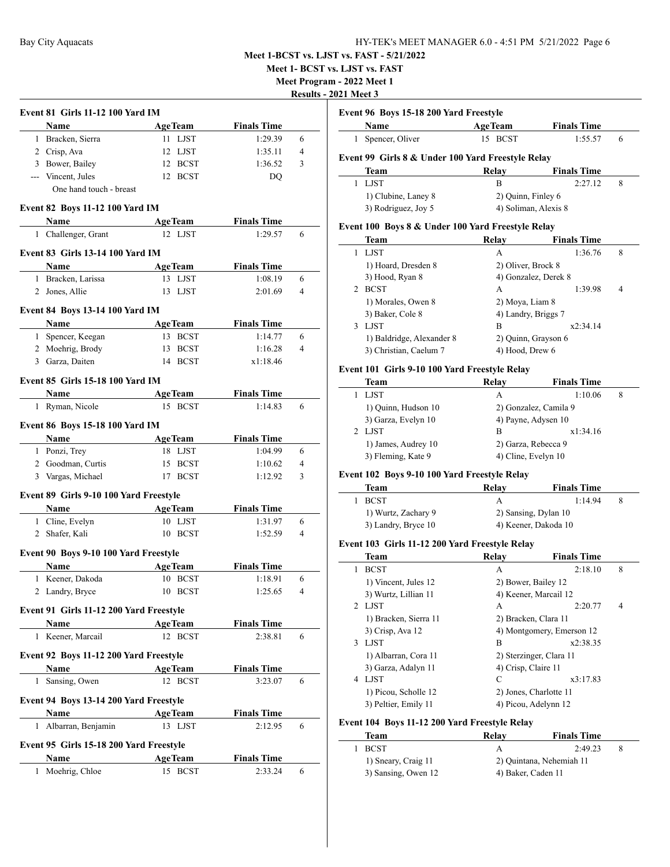**Meet 1- BCST vs. LJST vs. FAST**

**Meet Program - 2022 Meet 1**

**Results - 2021 Meet 3**

| <b>Event 81 Girls 11-12 100 Yard IM</b>         |                |                    |                |
|-------------------------------------------------|----------------|--------------------|----------------|
| Name                                            | <b>AgeTeam</b> | <b>Finals Time</b> |                |
| 1 Bracken, Sierra                               | 11 LJST        | 1:29.39            | 6              |
| 2 Crisp, Ava                                    | 12 LJST        | 1:35.11            | $\overline{4}$ |
| 3 Bower, Bailey                                 | 12 BCST        | 1:36.52            | 3              |
| --- Vincent, Jules                              | 12 BCST        | DO                 |                |
| One hand touch - breast                         |                |                    |                |
| Event 82 Boys 11-12 100 Yard IM                 |                |                    |                |
| Name                                            | <b>AgeTeam</b> | <b>Finals Time</b> |                |
| 1 Challenger, Grant                             | 12 LJST        | 1:29.57            | 6              |
|                                                 |                |                    |                |
| Event 83 Girls 13-14 100 Yard IM                |                |                    |                |
| Name                                            | <b>AgeTeam</b> | <b>Finals Time</b> |                |
| 1 Bracken, Larissa                              | 13 LJST        | 1:08.19            | 6              |
| 2 Jones, Allie                                  | 13 LJST        | 2:01.69            | 4              |
| Event 84 Boys 13-14 100 Yard IM                 |                |                    |                |
| Name                                            | <b>AgeTeam</b> | <b>Finals Time</b> |                |
| 1 Spencer, Keegan                               | 13 BCST        | 1:14.77            | 6              |
| 2 Moehrig, Brody                                | 13 BCST        | 1:16.28            | 4              |
| 3 Garza, Daiten                                 | 14 BCST        | x1:18.46           |                |
|                                                 |                |                    |                |
| <b>Event 85 Girls 15-18 100 Yard IM</b>         |                |                    |                |
| Name                                            | <b>AgeTeam</b> | <b>Finals Time</b> |                |
| 1 Ryman, Nicole                                 | 15 BCST        | 1:14.83            | 6              |
| Event 86 Boys 15-18 100 Yard IM                 |                |                    |                |
| Name                                            | <b>AgeTeam</b> | <b>Finals Time</b> |                |
| 1 Ponzi, Trey                                   | 18 LJST        | 1:04.99            | 6              |
| 2 Goodman, Curtis                               | 15 BCST        | 1:10.62            | 4              |
| 3 Vargas, Michael                               | 17 BCST        | 1:12.92            | 3              |
|                                                 |                |                    |                |
| Event 89 Girls 9-10 100 Yard Freestyle          |                |                    |                |
| Name                                            | <b>AgeTeam</b> | <b>Finals Time</b> |                |
| 1 Cline, Evelyn                                 | 10 LJST        | 1:31.97            | 6              |
| 2 Shafer, Kali                                  | 10 BCST        | 1:52.59            | 4              |
| Event 90 Boys 9-10 100 Yard Freestyle           |                |                    |                |
| Name                                            | <b>AgeTeam</b> | <b>Finals Time</b> |                |
| 1 Keener, Dakoda                                | 10 BCST        | 1:18.91            | 6              |
| 2 Landry, Bryce                                 | 10 BCST        | 1:25.65            | 4              |
|                                                 |                |                    |                |
| Event 91 Girls 11-12 200 Yard Freestyle<br>Name | <b>AgeTeam</b> | <b>Finals Time</b> |                |
| 1 Keener, Marcail                               | 12 BCST        | 2:38.81            | 6              |
|                                                 |                |                    |                |
| Event 92 Boys 11-12 200 Yard Freestyle          |                |                    |                |
| Name                                            | <b>AgeTeam</b> | <b>Finals Time</b> |                |
| 1 Sansing, Owen                                 | 12 BCST        | 3:23.07            | 6              |
| Event 94 Boys 13-14 200 Yard Freestyle          |                |                    |                |
| Name                                            | <b>AgeTeam</b> | <b>Finals Time</b> |                |
| 1 Albarran, Benjamin                            | 13 LJST        | 2:12.95            | 6              |
|                                                 |                |                    |                |
| Event 95 Girls 15-18 200 Yard Freestyle         |                |                    |                |
| Name                                            | <b>AgeTeam</b> | <b>Finals Time</b> |                |
| 1 Moehrig, Chloe                                | 15 BCST        | 2:33.24            | 6              |

| Event 96 Boys 15-18 200 Yard Freestyle |  |
|----------------------------------------|--|
|                                        |  |

|               | Name                                              | <b>AgeTeam</b>       | <b>Finals Time</b> |   |
|---------------|---------------------------------------------------|----------------------|--------------------|---|
| L             | Spencer, Oliver                                   | 15 BCST              | 1:55.57            | 6 |
|               | Event 99 Girls 8 & Under 100 Yard Freestyle Relay |                      |                    |   |
|               | Team                                              | Relay                | <b>Finals Time</b> |   |
|               | <b>LJST</b>                                       | B                    | 2:27.12            | 8 |
|               | 1) Clubine, Laney 8<br>2) Quinn, Finley 6         |                      |                    |   |
|               | 3) Rodriguez, Joy 5                               | 4) Soliman, Alexis 8 |                    |   |
|               | Event 100 Boys 8 & Under 100 Yard Freestyle Relay |                      |                    |   |
|               | <b>Team</b>                                       | Relay                | <b>Finals Time</b> |   |
|               | <b>LJST</b>                                       | A                    | 1:36.76            | 8 |
|               | 1) Hoard, Dresden 8                               | 2) Oliver, Brock 8   |                    |   |
|               | 3) Hood, Ryan 8                                   | 4) Gonzalez, Derek 8 |                    |   |
| $\mathcal{P}$ | <b>BCST</b>                                       | А                    | 1:39.98            | 4 |
|               |                                                   |                      |                    |   |

# 1) Morales, Owen 8 2) Moya, Liam 8 3) Baker, Cole 8 4) Landry, Briggs 7 3 LJST B x2:34.14 1) Baldridge, Alexander 8 2) Quinn, Grayson 6 3) Christian, Caelum 7 4) Hood, Drew 6

### **Event 101 Girls 9-10 100 Yard Freestyle Relay**

| <b>Team</b>         | Relay               | <b>Finals Time</b>    |   |
|---------------------|---------------------|-----------------------|---|
| <b>LIST</b>         | А                   | 1:10.06               | 8 |
| 1) Quinn, Hudson 10 |                     | 2) Gonzalez, Camila 9 |   |
| 3) Garza, Evelyn 10 | 4) Payne, Adysen 10 |                       |   |
| 2 LIST              | В                   | x1:34.16              |   |
| 1) James, Audrey 10 | 2) Garza, Rebecca 9 |                       |   |
| 3) Fleming, Kate 9  | 4) Cline, Evelyn 10 |                       |   |

#### **Event 102 Boys 9-10 100 Yard Freestyle Relay**

| Team                | Relav                | <b>Finals Time</b>   |  |
|---------------------|----------------------|----------------------|--|
| <b>BCST</b>         |                      | 1.1494               |  |
| 1) Wurtz, Zachary 9 |                      | 2) Sansing, Dylan 10 |  |
| 3) Landry, Bryce 10 | 4) Keener, Dakoda 10 |                      |  |

# **Event 103 Girls 11-12 200 Yard Freestyle Relay**

|   | <b>Team</b>           | Relay                     | <b>Finals Time</b> |   |
|---|-----------------------|---------------------------|--------------------|---|
| 1 | <b>BCST</b>           | A                         | 2:18.10            | 8 |
|   | 1) Vincent, Jules 12  | 2) Bower, Bailey 12       |                    |   |
|   | 3) Wurtz, Lillian 11  | 4) Keener, Marcail 12     |                    |   |
|   | 2 LJST                | А                         | 2:20.77            | 4 |
|   | 1) Bracken, Sierra 11 | 2) Bracken, Clara 11      |                    |   |
|   | 3) Crisp, Ava 12      | 4) Montgomery, Emerson 12 |                    |   |
| 3 | <b>LIST</b>           | B                         | x2:38.35           |   |
|   | 1) Albarran, Cora 11  | 2) Sterzinger, Clara 11   |                    |   |
|   | 3) Garza, Adalyn 11   | 4) Crisp. Claire 11       |                    |   |
| 4 | <b>LIST</b>           | C                         | x3:17.83           |   |
|   | 1) Picou, Scholle 12  | 2) Jones, Charlotte 11    |                    |   |
|   | 3) Peltier, Emily 11  | 4) Picou, Adelynn 12      |                    |   |

# **Event 104 Boys 11-12 200 Yard Freestyle Relay**

| Team                | Relay              | <b>Finals Time</b>       |  |
|---------------------|--------------------|--------------------------|--|
| 1 BCST              |                    | 2:49.23                  |  |
| 1) Sneary, Craig 11 |                    | 2) Ouintana, Nehemiah 11 |  |
| 3) Sansing, Owen 12 | 4) Baker, Caden 11 |                          |  |